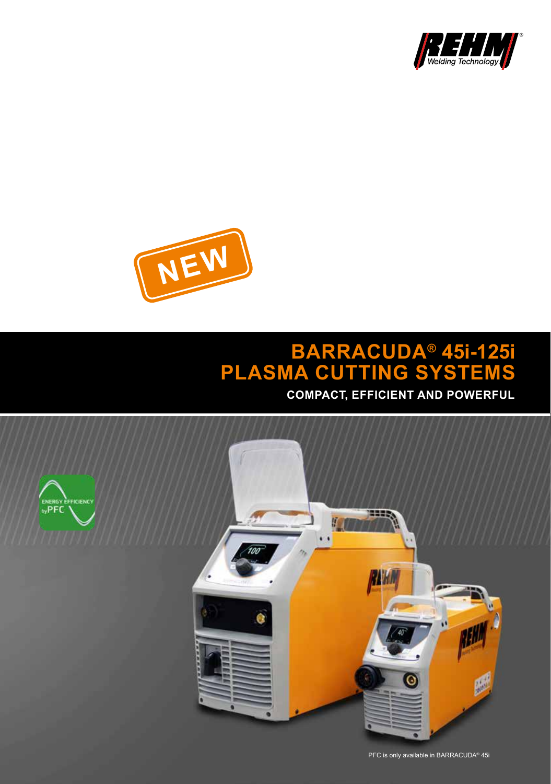



# **PLASMA CUTTING SYSTEMS BARRACUDA® 45i-125i**

**COMPACT, EFFICIENT AND POWERFUL**





PFC is only available in BARRACUDA® 45i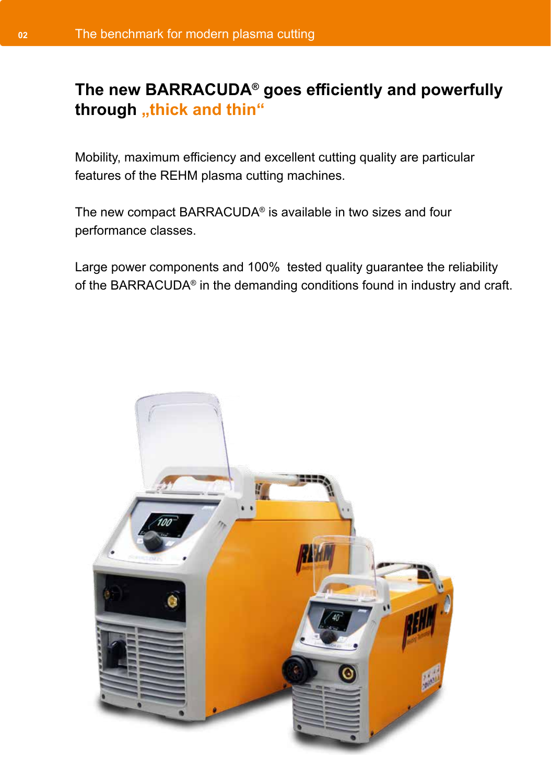## **The new BARRACUDA® goes efficiently and powerfully**  through "thick and thin"

Mobility, maximum efficiency and excellent cutting quality are particular features of the REHM plasma cutting machines.

The new compact BARRACUDA® is available in two sizes and four performance classes.

Large power components and 100% tested quality guarantee the reliability of the BARRACUDA® in the demanding conditions found in industry and craft.

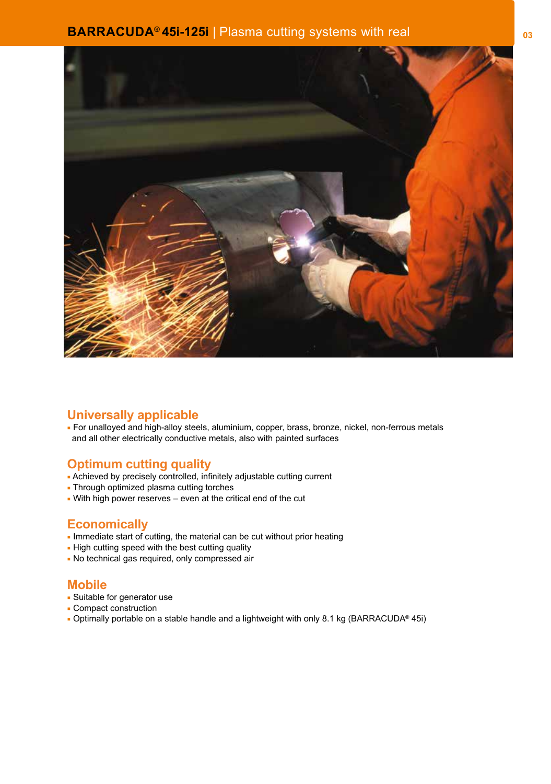

#### **Universally applicable**

■ For unalloyed and high-alloy steels, aluminium, copper, brass, bronze, nickel, non-ferrous metals and all other electrically conductive metals, also with painted surfaces

#### **Optimum cutting quality**

- Achieved by precisely controlled, infinitely adjustable cutting current
- Through optimized plasma cutting torches
- With high power reserves even at the critical end of the cut

#### **Economically**

- Immediate start of cutting, the material can be cut without prior heating
- High cutting speed with the best cutting quality
- No technical gas required, only compressed air

#### **Mobile**

- Suitable for generator use
- Compact construction
- Optimally portable on a stable handle and a lightweight with only 8.1 kg (BARRACUDA® 45i)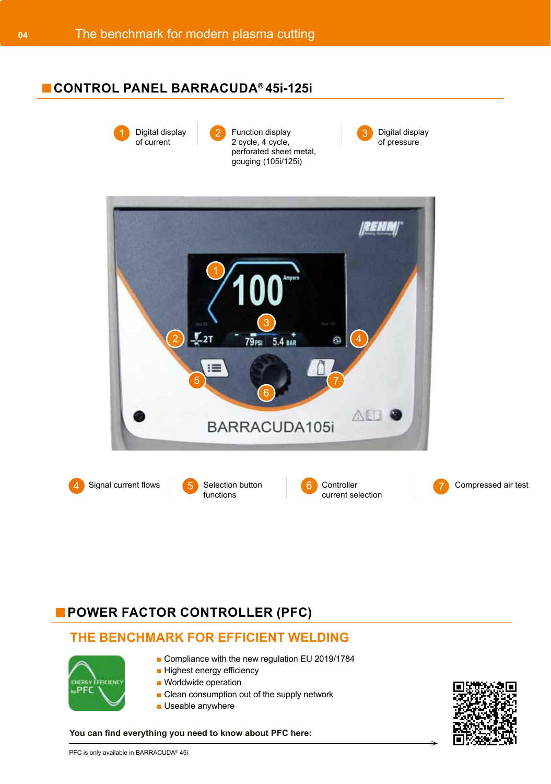### **CONTROL PANEL BARRACUDA® 45i-125i**



### **POWER FACTOR CONTROLLER (PFC)**

### **THE BENCHMARK FOR EFFICIENT WELDING**



- Compliance with the new regulation EU 2019/1784
- Highest energy efficiency
- Worldwide operation
- Clean consumption out of the supply network
- Useable anywhere

**You can find everything you need to know about PFC here:**

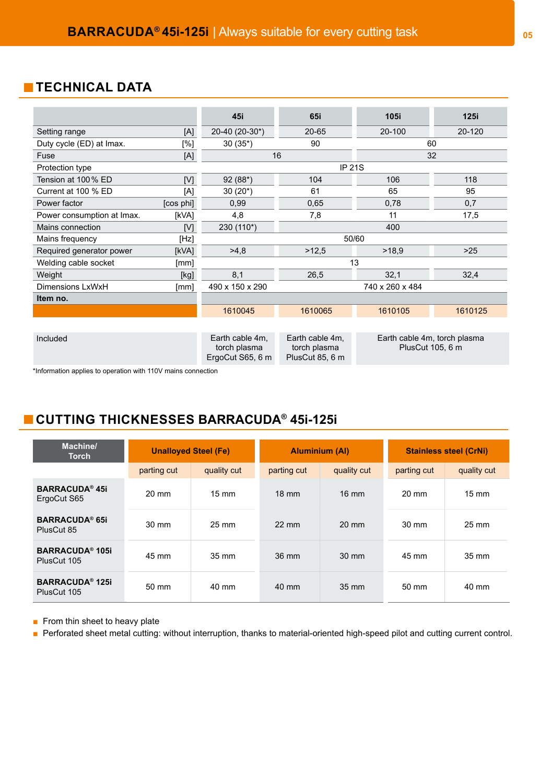### **TECHNICAL DATA**

|                            |           | 45i                                                 | 65i                                                | 105i                                                    | <b>125i</b> |  |
|----------------------------|-----------|-----------------------------------------------------|----------------------------------------------------|---------------------------------------------------------|-------------|--|
| Setting range              | [A]       | 20-40 (20-30*)                                      | 20-65                                              | 20-100                                                  |             |  |
| Duty cycle (ED) at Imax.   | [%]       | $30(35*)$                                           | 90<br>60                                           |                                                         |             |  |
| Fuse                       | [A]       | 16                                                  |                                                    | 32                                                      |             |  |
| Protection type            |           | <b>IP 21S</b>                                       |                                                    |                                                         |             |  |
| Tension at 100% ED         | [V]       | $92(88*)$                                           | 104                                                | 106                                                     | 118         |  |
| Current at 100 % ED        | [A]       | $30(20*)$                                           | 61<br>65                                           |                                                         | 95          |  |
| Power factor               | [cos phi] | 0,99                                                | 0.65<br>0.78                                       |                                                         | 0,7         |  |
| Power consumption at Imax. | [kVA]     | 4,8                                                 | 7,8<br>11                                          |                                                         | 17,5        |  |
| Mains connection           | [V]       | 230 (110*)                                          | 400                                                |                                                         |             |  |
| Mains frequency            | [Hz]      |                                                     | 50/60                                              |                                                         |             |  |
| Required generator power   | [kVA]     | >4,8                                                | >12,5<br>>18,9                                     |                                                         | $>25$       |  |
| Welding cable socket       | [mm]      |                                                     | 13                                                 |                                                         |             |  |
| Weight                     | [kg]      | 8,1                                                 | 26,5                                               | 32,1                                                    | 32,4        |  |
| Dimensions LxWxH           | [mm]      | 490 x 150 x 290                                     | 740 x 260 x 484                                    |                                                         |             |  |
| Item no.                   |           |                                                     |                                                    |                                                         |             |  |
|                            |           | 1610045                                             | 1610065                                            | 1610105                                                 | 1610125     |  |
|                            |           |                                                     |                                                    |                                                         |             |  |
| Included                   |           | Earth cable 4m,<br>torch plasma<br>ErgoCut S65, 6 m | Earth cable 4m,<br>torch plasma<br>PlusCut 85, 6 m | Earth cable 4m, torch plasma<br><b>PlusCut 105, 6 m</b> |             |  |

\*Information applies to operation with 110V mains connection

### **CUTTING THICKNESSES BARRACUDA® 45i-125i**

| Machine/<br><b>Torch</b>              | <b>Unalloyed Steel (Fe)</b> |                 | <b>Aluminium (AI)</b> |                 | <b>Stainless steel (CrNi)</b> |                 |
|---------------------------------------|-----------------------------|-----------------|-----------------------|-----------------|-------------------------------|-----------------|
|                                       | parting cut                 | quality cut     | parting cut           | quality cut     | parting cut                   | quality cut     |
| <b>BARRACUDA® 45i</b><br>ErgoCut S65  | $20 \text{ mm}$             | $15 \text{ mm}$ | $18 \text{ mm}$       | $16 \text{ mm}$ | $20 \text{ mm}$               | $15 \text{ mm}$ |
| <b>BARRACUDA® 65i</b><br>PlusCut 85   | $30 \text{ mm}$             | 25 mm           | $22 \text{ mm}$       | 20 mm           | 30 mm                         | $25 \text{ mm}$ |
| <b>BARRACUDA® 105i</b><br>PlusCut 105 | 45 mm                       | 35 mm           | 36 mm                 | $30 \text{ mm}$ | 45 mm                         | 35 mm           |
| <b>BARRACUDA® 125i</b><br>PlusCut 105 | 50 mm                       | 40 mm           | 40 mm                 | $35 \text{ mm}$ | $50 \text{ mm}$               | 40 mm           |

■ From thin sheet to heavy plate

■ Perforated sheet metal cutting: without interruption, thanks to material-oriented high-speed pilot and cutting current control.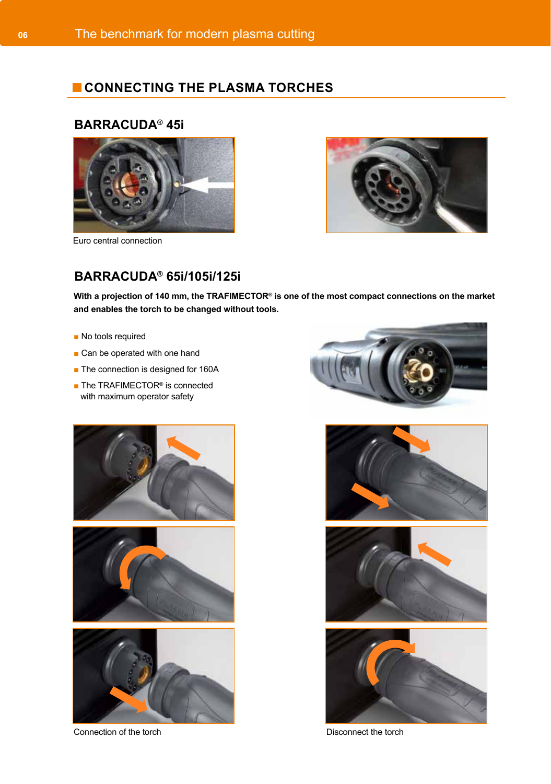### **CONNECTING THE PLASMA TORCHES**

#### **BARRACUDA® 45i**



Euro central connection



### **BARRACUDA® 65i/105i/125i**

**With a projection of 140 mm, the TRAFIMECTOR® is one of the most compact connections on the market and enables the torch to be changed without tools.**

- No tools required
- Can be operated with one hand
- The connection is designed for 160A
- The TRAFIMECTOR<sup>®</sup> is connected with maximum operator safety







Connection of the torch **Disconnect** the torch **Disconnect** the torch







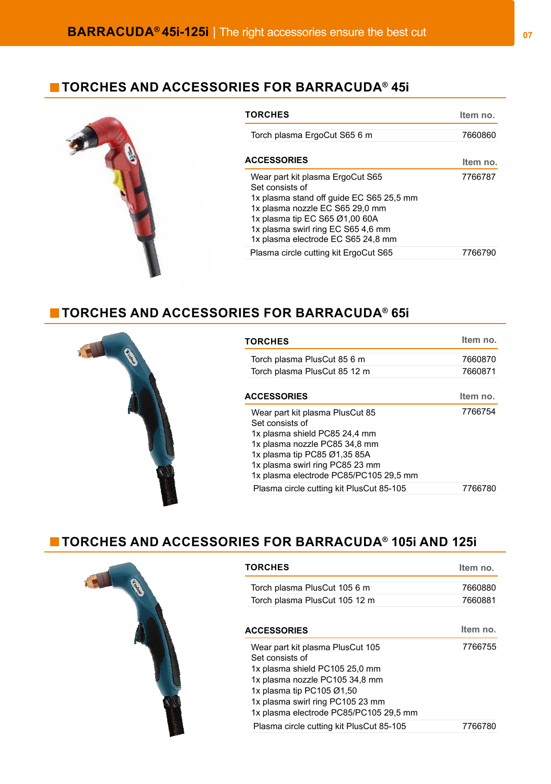### **TORCHES AND ACCESSORIES FOR BARRACUDA® 45i**



| <b>TORCHES</b>                                                                                                                                                                                                                                                | ltem no. |
|---------------------------------------------------------------------------------------------------------------------------------------------------------------------------------------------------------------------------------------------------------------|----------|
| Torch plasma ErgoCut S65 6 m                                                                                                                                                                                                                                  | 7660860  |
| <b>ACCESSORIES</b>                                                                                                                                                                                                                                            | Item no. |
| Wear part kit plasma ErgoCut S65<br>Set consists of<br>1x plasma stand off guide EC S65 25,5 mm<br>1x plasma nozzle EC S65 29,0 mm<br>1x plasma tip EC S65 $\varnothing$ 1,00 60A<br>1x plasma swirl ring EC S65 4,6 mm<br>1x plasma electrode EC S65 24,8 mm | 7766787  |
| Plasma circle cutting kit ErgoCut S65                                                                                                                                                                                                                         | 7766790  |

### **TORCHES AND ACCESSORIES FOR BARRACUDA® 65i**



| TORCHES                                                                                                                                                                                                                           | Item no. |
|-----------------------------------------------------------------------------------------------------------------------------------------------------------------------------------------------------------------------------------|----------|
| Torch plasma PlusCut 85 6 m                                                                                                                                                                                                       | 7660870  |
| Torch plasma PlusCut 85 12 m                                                                                                                                                                                                      | 7660871  |
| <b>ACCESSORIES</b>                                                                                                                                                                                                                | Item no. |
| Wear part kit plasma PlusCut 85<br>Set consists of<br>1x plasma shield PC85 24,4 mm<br>1x plasma nozzle PC85 34,8 mm<br>1x plasma tip PC85 Ø1,35 85A<br>1x plasma swirl ring PC85 23 mm<br>1x plasma electrode PC85/PC105 29,5 mm | 7766754  |
| Plasma circle cutting kit PlusCut 85-105                                                                                                                                                                                          | 7766780  |

### **TORCHES AND ACCESSORIES FOR BARRACUDA® 105i AND 125i**



| <b>TORCHES</b>                                                                                                                                                                                                                                  | Item no. |
|-------------------------------------------------------------------------------------------------------------------------------------------------------------------------------------------------------------------------------------------------|----------|
| Torch plasma PlusCut 105 6 m                                                                                                                                                                                                                    | 7660880  |
| Torch plasma PlusCut 105 12 m                                                                                                                                                                                                                   | 7660881  |
| <b>ACCESSORIES</b>                                                                                                                                                                                                                              | Item no. |
| Wear part kit plasma PlusCut 105<br>Set consists of<br>1x plasma shield PC105 25,0 mm<br>1x plasma nozzle PC105 34,8 mm<br>1x plasma tip PC105 $\varnothing$ 1,50<br>1x plasma swirl ring PC105 23 mm<br>1x plasma electrode PC85/PC105 29,5 mm | 7766755  |
| Plasma circle cutting kit PlusCut 85-105                                                                                                                                                                                                        | 7766780  |